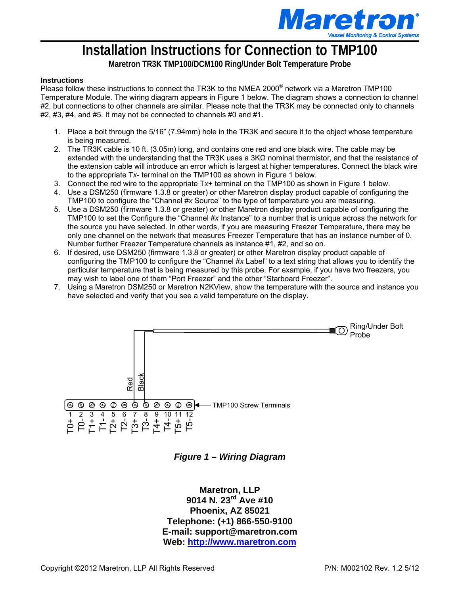

## **Installation Instructions for Connection to TMP100**

**Maretron TR3K TMP100/DCM100 Ring/Under Bolt Temperature Probe** 

## **Instructions**

Please follow these instructions to connect the TR3K to the NMEA 2000<sup>®</sup> network via a Maretron TMP100 Temperature Module. The wiring diagram appears in Figure 1 below. The diagram shows a connection to channel #2, but connections to other channels are similar. Please note that the TR3K may be connected only to channels #2, #3, #4, and #5. It may not be connected to channels #0 and #1.

- 1. Place a bolt through the 5/16" (7.94mm) hole in the TR3K and secure it to the object whose temperature is being measured.
- 2. The TR3K cable is 10 ft. (3.05m) long, and contains one red and one black wire. The cable may be extended with the understanding that the TR3K uses a 3KΩ nominal thermistor, and that the resistance of the extension cable will introduce an error which is largest at higher temperatures. Connect the black wire to the appropriate T*x*- terminal on the TMP100 as shown in Figure 1 below.
- 3. Connect the red wire to the appropriate T*x*+ terminal on the TMP100 as shown in Figure 1 below.
- 4. Use a DSM250 (firmware 1.3.8 or greater) or other Maretron display product capable of configuring the TMP100 to configure the "Channel #*x* Source" to the type of temperature you are measuring.
- 5. Use a DSM250 (firmware 1.3.8 or greater) or other Maretron display product capable of configuring the TMP100 to set the Configure the "Channel #*x* Instance" to a number that is unique across the network for the source you have selected. In other words, if you are measuring Freezer Temperature, there may be only one channel on the network that measures Freezer Temperature that has an instance number of 0. Number further Freezer Temperature channels as instance #1, #2, and so on.
- 6. If desired, use DSM250 (firmware 1.3.8 or greater) or other Maretron display product capable of configuring the TMP100 to configure the "Channel #*x* Label" to a text string that allows you to identify the particular temperature that is being measured by this probe. For example, if you have two freezers, you may wish to label one of them "Port Freezer" and the other "Starboard Freezer".
- 7. Using a Maretron DSM250 or Maretron N2KView, show the temperature with the source and instance you have selected and verify that you see a valid temperature on the display.



*Figure 1 – Wiring Diagram*

**Maretron, LLP 9014 N. 23rd Ave #10 Phoenix, AZ 85021 Telephone: (+1) 866-550-9100 E-mail: support@maretron.com Web: [http://www.maretron.com](http://www.maretron.com/)**